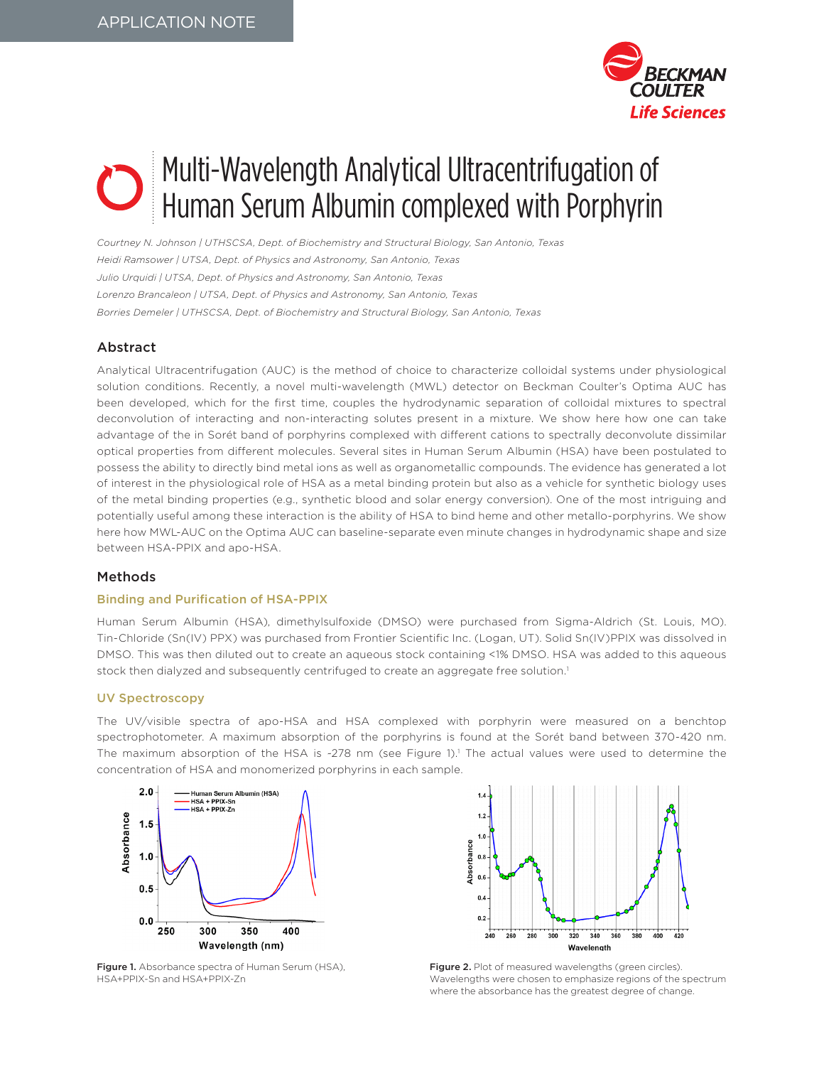

# Multi-Wavelength Analytical Ultracentrifugation of Human Serum Albumin complexed with Porphyrin

*Courtney N. Johnson | UTHSCSA, Dept. of Biochemistry and Structural Biology, San Antonio, Texas Heidi Ramsower | UTSA, Dept. of Physics and Astronomy, San Antonio, Texas Julio Urquidi | UTSA, Dept. of Physics and Astronomy, San Antonio, Texas Lorenzo Brancaleon | UTSA, Dept. of Physics and Astronomy, San Antonio, Texas Borries Demeler | UTHSCSA, Dept. of Biochemistry and Structural Biology, San Antonio, Texas*

# Abstract

Analytical Ultracentrifugation (AUC) is the method of choice to characterize colloidal systems under physiological solution conditions. Recently, a novel multi-wavelength (MWL) detector on Beckman Coulter's Optima AUC has been developed, which for the first time, couples the hydrodynamic separation of colloidal mixtures to spectral deconvolution of interacting and non-interacting solutes present in a mixture. We show here how one can take advantage of the in Sorét band of porphyrins complexed with different cations to spectrally deconvolute dissimilar optical properties from different molecules. Several sites in Human Serum Albumin (HSA) have been postulated to possess the ability to directly bind metal ions as well as organometallic compounds. The evidence has generated a lot of interest in the physiological role of HSA as a metal binding protein but also as a vehicle for synthetic biology uses of the metal binding properties (e.g., synthetic blood and solar energy conversion). One of the most intriguing and potentially useful among these interaction is the ability of HSA to bind heme and other metallo-porphyrins. We show here how MWL-AUC on the Optima AUC can baseline-separate even minute changes in hydrodynamic shape and size between HSA-PPIX and apo-HSA.

# Methods

# Binding and Purification of HSA-PPIX

Human Serum Albumin (HSA), dimethylsulfoxide (DMSO) were purchased from Sigma-Aldrich (St. Louis, MO). Tin-Chloride (Sn(IV) PPX) was purchased from Frontier Scientific Inc. (Logan, UT). Solid Sn(IV)PPIX was dissolved in DMSO. This was then diluted out to create an aqueous stock containing <1% DMSO. HSA was added to this aqueous stock then dialyzed and subsequently centrifuged to create an aggregate free solution.<sup>1</sup>

#### UV Spectroscopy

The UV/visible spectra of apo-HSA and HSA complexed with porphyrin were measured on a benchtop spectrophotometer. A maximum absorption of the porphyrins is found at the Sorét band between 370-420 nm. The maximum absorption of the HSA is ~278 nm (see Figure 1).1 The actual values were used to determine the concentration of HSA and monomerized porphyrins in each sample.



Figure 1. Absorbance spectra of Human Serum (HSA), HSA+PPIX-Sn and HSA+PPIX-Zn



Figure 2. Plot of measured wavelengths (green circles). Wavelengths were chosen to emphasize regions of the spectrum where the absorbance has the greatest degree of change.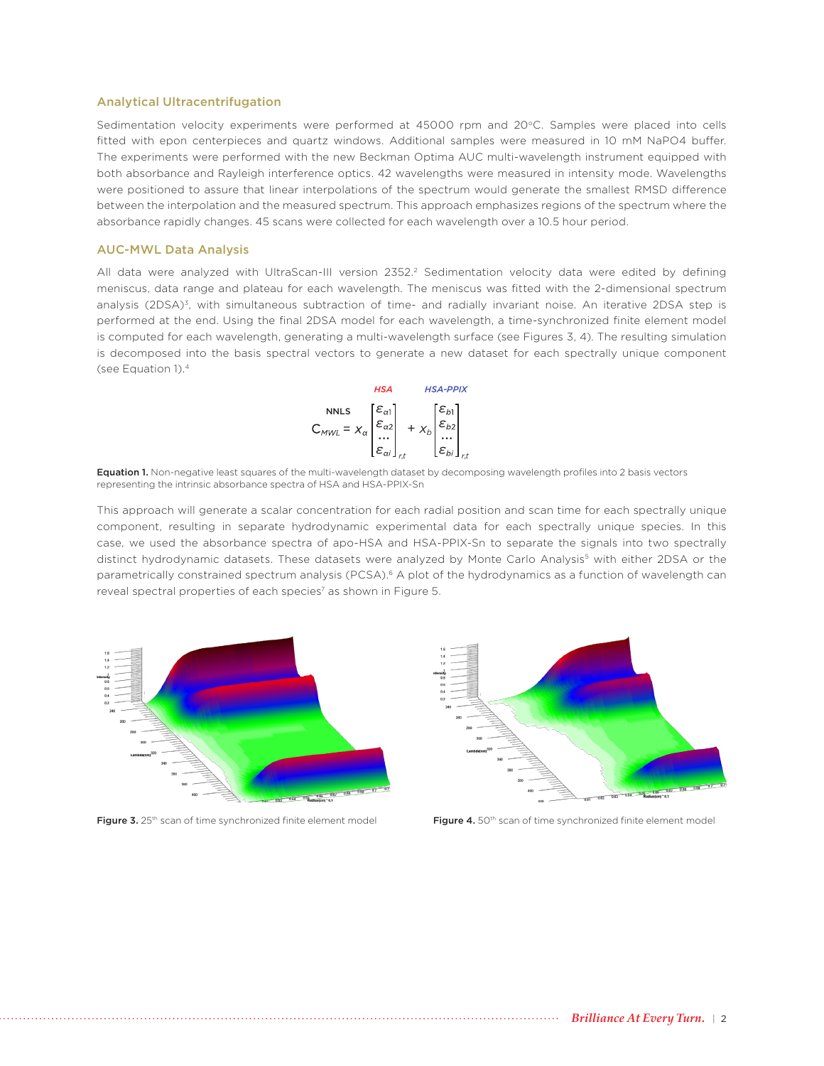#### Analytical Ultracentrifugation

Sedimentation velocity experiments were performed at 45000 rpm and 20°C. Samples were placed into cells fitted with epon centerpieces and quartz windows. Additional samples were measured in 10 mM NaPO4 buffer. The experiments were performed with the new Beckman Optima AUC multi-wavelength instrument equipped with both absorbance and Rayleigh interference optics. 42 wavelengths were measured in intensity mode. Wavelengths were positioned to assure that linear interpolations of the spectrum would generate the smallest RMSD difference between the interpolation and the measured spectrum. This approach emphasizes regions of the spectrum where the absorbance rapidly changes. 45 scans were collected for each wavelength over a 10.5 hour period.

### AUC-MWL Data Analysis

All data were analyzed with UltraScan-III version 2352.<sup>2</sup> Sedimentation velocity data were edited by defining meniscus, data range and plateau for each wavelength. The meniscus was fitted with the 2-dimensional spectrum analysis (2DSA)<sup>3</sup>, with simultaneous subtraction of time- and radially invariant noise. An iterative 2DSA step is performed at the end. Using the final 2DSA model for each wavelength, a time-synchronized finite element model is computed for each wavelength, generating a multi-wavelength surface (see Figures 3, 4). The resulting simulation is decomposed into the basis spectral vectors to generate a new dataset for each spectrally unique component (see Equation 1).4



Equation 1. Non-negative least squares of the multi-wavelength dataset by decomposing wavelength profiles into 2 basis vectors representing the intrinsic absorbance spectra of HSA and HSA-PPIX-Sn

This approach will generate a scalar concentration for each radial position and scan time for each spectrally unique component, resulting in separate hydrodynamic experimental data for each spectrally unique species. In this case, we used the absorbance spectra of apo-HSA and HSA-PPIX-Sn to separate the signals into two spectrally distinct hydrodynamic datasets. These datasets were analyzed by Monte Carlo Analysis<sup>5</sup> with either 2DSA or the parametrically constrained spectrum analysis (PCSA).<sup>6</sup> A plot of the hydrodynamics as a function of wavelength can reveal spectral properties of each species<sup>7</sup> as shown in Figure 5.





Figure 3. 25<sup>th</sup> scan of time synchronized finite element model **Figure 4.** 50<sup>th</sup> scan of time synchronized finite element model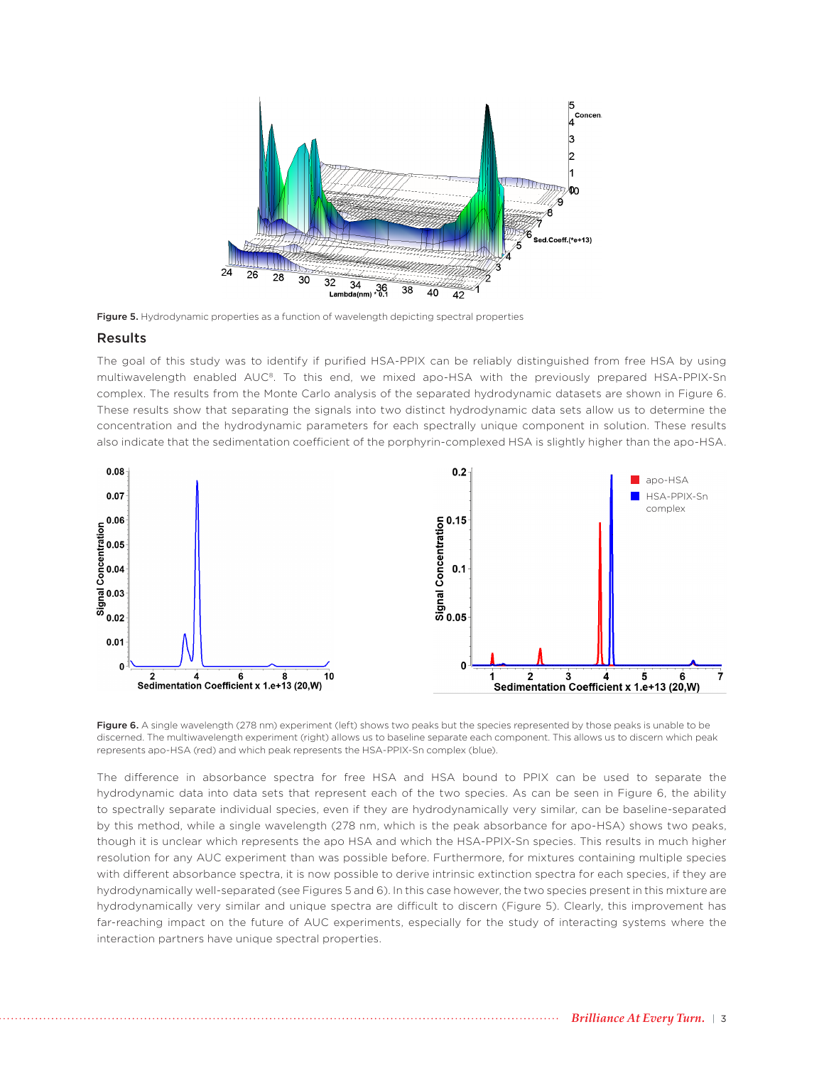

Figure 5. Hydrodynamic properties as a function of wavelength depicting spectral properties

#### Results

The goal of this study was to identify if purified HSA-PPIX can be reliably distinguished from free HSA by using multiwavelength enabled AUC8. To this end, we mixed apo-HSA with the previously prepared HSA-PPIX-Sn complex. The results from the Monte Carlo analysis of the separated hydrodynamic datasets are shown in Figure 6. These results show that separating the signals into two distinct hydrodynamic data sets allow us to determine the concentration and the hydrodynamic parameters for each spectrally unique component in solution. These results also indicate that the sedimentation coefficient of the porphyrin-complexed HSA is slightly higher than the apo-HSA.



Figure 6. A single wavelength (278 nm) experiment (left) shows two peaks but the species represented by those peaks is unable to be discerned. The multiwavelength experiment (right) allows us to baseline separate each component. This allows us to discern which peak represents apo-HSA (red) and which peak represents the HSA-PPIX-Sn complex (blue).

The difference in absorbance spectra for free HSA and HSA bound to PPIX can be used to separate the hydrodynamic data into data sets that represent each of the two species. As can be seen in Figure 6, the ability to spectrally separate individual species, even if they are hydrodynamically very similar, can be baseline-separated by this method, while a single wavelength (278 nm, which is the peak absorbance for apo-HSA) shows two peaks, though it is unclear which represents the apo HSA and which the HSA-PPIX-Sn species. This results in much higher resolution for any AUC experiment than was possible before. Furthermore, for mixtures containing multiple species with different absorbance spectra, it is now possible to derive intrinsic extinction spectra for each species, if they are hydrodynamically well-separated (see Figures 5 and 6). In this case however, the two species present in this mixture are hydrodynamically very similar and unique spectra are difficult to discern (Figure 5). Clearly, this improvement has far-reaching impact on the future of AUC experiments, especially for the study of interacting systems where the interaction partners have unique spectral properties.